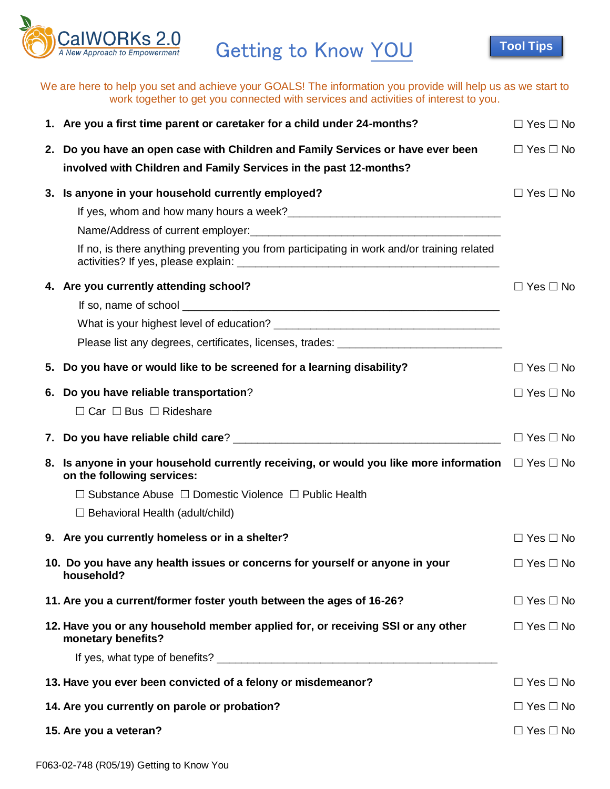

Getting to Know YOU

**[Tool Tips](http://ocssa/intranet/sites/default/files/Files/fss/content/tools/CalWORKs_20/Tools/Getting_to_Know_You_Tips.pdf)**

We are here to help you set and achieve your GOALS! The information you provide will help us as we start to work together to get you connected with services and activities of interest to you.

|                                               | 1. Are you a first time parent or caretaker for a child under 24-months?                                                                          | $\Box$ Yes $\Box$ No |
|-----------------------------------------------|---------------------------------------------------------------------------------------------------------------------------------------------------|----------------------|
| 2.                                            | Do you have an open case with Children and Family Services or have ever been<br>involved with Children and Family Services in the past 12-months? | $\Box$ Yes $\Box$ No |
|                                               | 3. Is anyone in your household currently employed?<br>If no, is there anything preventing you from participating in work and/or training related  | $\Box$ Yes $\Box$ No |
|                                               | 4. Are you currently attending school?<br>Please list any degrees, certificates, licenses, trades: _______________________                        | $\Box$ Yes $\Box$ No |
| 5.                                            | Do you have or would like to be screened for a learning disability?                                                                               | $\Box$ Yes $\Box$ No |
| 6.                                            | Do you have reliable transportation?<br>$\Box$ Car $\Box$ Bus $\Box$ Rideshare                                                                    | $\Box$ Yes $\Box$ No |
| 7.                                            |                                                                                                                                                   | $\Box$ Yes $\Box$ No |
|                                               | 8. Is anyone in your household currently receiving, or would you like more information $\square$ Yes $\square$ No<br>on the following services:   |                      |
|                                               | $\Box$ Substance Abuse $\Box$ Domestic Violence $\Box$ Public Health<br>$\Box$ Behavioral Health (adult/child)                                    |                      |
|                                               | 9. Are you currently homeless or in a shelter?                                                                                                    | $\Box$ Yes $\Box$ No |
|                                               | 10. Do you have any health issues or concerns for yourself or anyone in your<br>household?                                                        | $\Box$ Yes $\Box$ No |
|                                               | 11. Are you a current/former foster youth between the ages of 16-26?                                                                              | $\Box$ Yes $\Box$ No |
|                                               | 12. Have you or any household member applied for, or receiving SSI or any other<br>monetary benefits?                                             | $\Box$ Yes $\Box$ No |
|                                               | 13. Have you ever been convicted of a felony or misdemeanor?                                                                                      | $\Box$ Yes $\Box$ No |
| 14. Are you currently on parole or probation? |                                                                                                                                                   |                      |
| 15. Are you a veteran?                        |                                                                                                                                                   |                      |